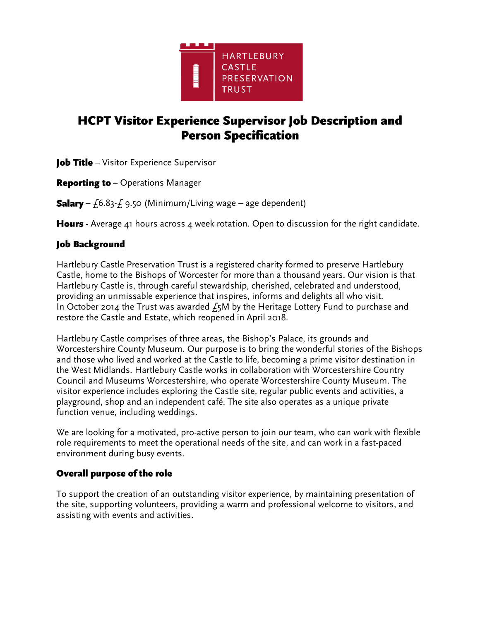

# **HCPT Visitor Experience Supervisor Job Description and Person Specification**

**Job Title** - Visitor Experience Supervisor

*– Operations Manager*

*– £6.83-£ 9.50 (Minimum/Living wage – age dependent)*

*- Average 41 hours across 4 week rotation. Open to discussion for the right candidate.*

#### Job Background

*Hartlebury Castle Preservation Trust is a registered charity formed to preserve Hartlebury Castle, home to the Bishops of Worcester for more than a thousand years. Our vision is that Hartlebury Castle is, through careful stewardship, cherished, celebrated and understood, providing an unmissable experience that inspires, informs and delights all who visit. In October 2014 the Trust was awarded £5M by the Heritage Lottery Fund to purchase and restore the Castle and Estate, which reopened in April 2018.* 

*Hartlebury Castle comprises of three areas, the Bishop's Palace, its grounds and Worcestershire County Museum. Our purpose is to bring the wonderful stories of the Bishops and those who lived and worked at the Castle to life, becoming a prime visitor destination in the West Midlands. Hartlebury Castle works in collaboration with Worcestershire Country Council and Museums Worcestershire, who operate Worcestershire County Museum. The visitor experience includes exploring the Castle site, regular public events and activities, a playground, shop and an independent café. The site also operates as a unique private function venue, including weddings.*

*We are looking for a motivated, pro-active person to join our team, who can work with flexible role requirements to meet the operational needs of the site, and can work in a fast-paced environment during busy events.*

## Overall purpose of the role

*To support the creation of an outstanding visitor experience, by maintaining presentation of the site, supporting volunteers, providing a warm and professional welcome to visitors, and assisting with events and activities.*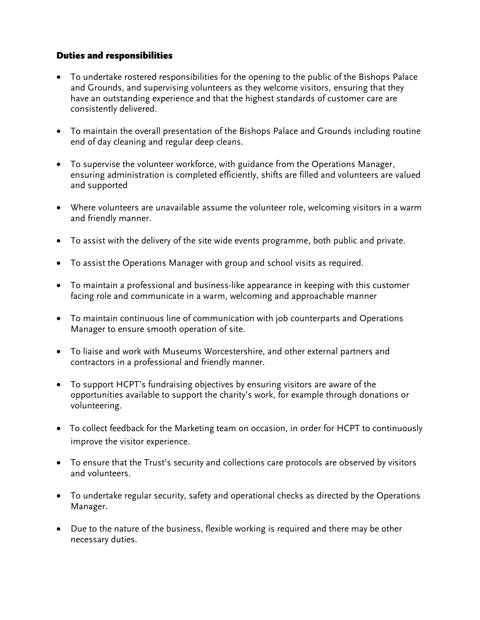## **Duties and responsibilities**

- *To undertake rostered responsibilities for the opening to the public of the Bishops Palace and Grounds, and supervising volunteers as they welcome visitors, ensuring that they have an outstanding experience and that the highest standards of customer care are consistently delivered.*
- *To maintain the overall presentation of the Bishops Palace and Grounds including routine end of day cleaning and regular deep cleans.*
- *To supervise the volunteer workforce, with guidance from the Operations Manager, ensuring administration is completed efficiently, shifts are filled and volunteers are valued and supported*
- *Where volunteers are unavailable assume the volunteer role, welcoming visitors in a warm and friendly manner.*
- *To assist with the delivery of the site wide events programme, both public and private.*
- *To assist the Operations Manager with group and school visits as required.*
- *To maintain a professional and business-like appearance in keeping with this customer*  facing role and communicate in a warm, welcoming and approachable manner
- *To maintain continuous line of communication with job counterparts and Operations Manager to ensure smooth operation of site.*
- *To liaise and work with Museums Worcestershire, and other external partners and contractors in a professional and friendly manner.*
- *To support HCPT's fundraising objectives by ensuring visitors are aware of the opportunities available to support the charity's work, for example through donations or volunteering.*
- • *To collect feedback for the Marketing team on occasion, in order for HCPT to continuously improve the visitor experience.*
- *To ensure that the Trust's security and collections care protocols are observed by visitors and volunteers.*
- *To undertake regular security, safety and operational checks as directed by the Operations Manager.*
- *Due to the nature of the business, flexible working is required and there may be other necessary duties.*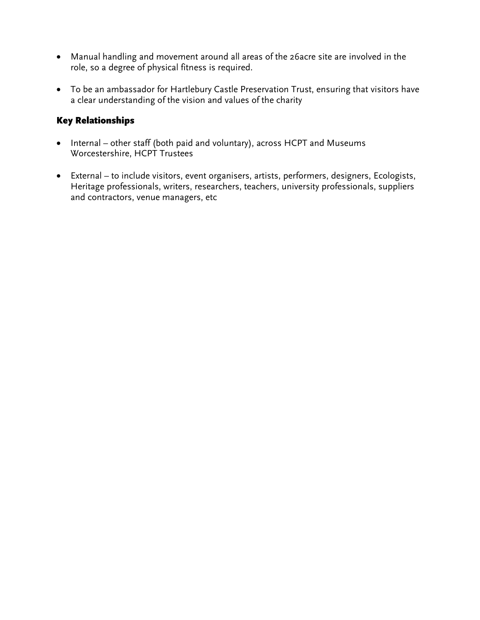- *Manual handling and movement around all areas of the 26acre site are involved in the role, so a degree of physical fitness is required.*
- *To be an ambassador for Hartlebury Castle Preservation Trust, ensuring that visitors have a clear understanding of the vision and values of the charity*

## **Key Relationships**

- Internal other staff (both paid and voluntary), across HCPT and Museums *Worcestershire, HCPT Trustees*
- *External – to include visitors, event organisers, artists, performers, designers, Ecologists, Heritage professionals, writers, researchers, teachers, university professionals, suppliers and contractors, venue managers, etc*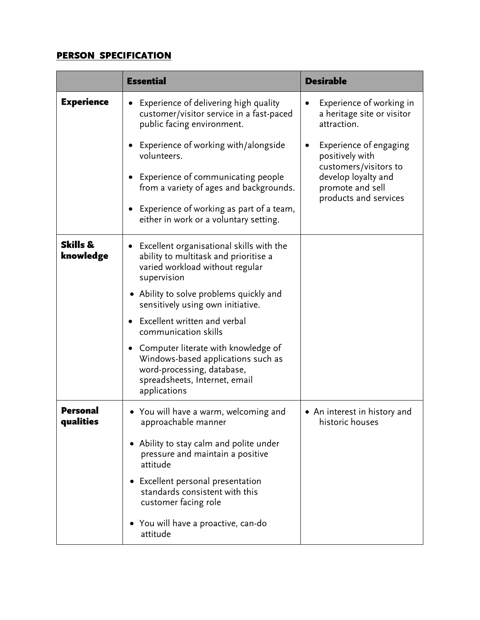## **PERSON SPECIFICATION**

|                              | <b>Essential</b>                                                                                                                                         | <b>Desirable</b>                                                                                                                       |
|------------------------------|----------------------------------------------------------------------------------------------------------------------------------------------------------|----------------------------------------------------------------------------------------------------------------------------------------|
| <b>Experience</b>            | Experience of delivering high quality<br>customer/visitor service in a fast-paced<br>public facing environment.                                          | Experience of working in<br>a heritage site or visitor<br>attraction.                                                                  |
|                              | Experience of working with/alongside<br>volunteers.                                                                                                      | Experience of engaging<br>positively with<br>customers/visitors to<br>develop loyalty and<br>promote and sell<br>products and services |
|                              | Experience of communicating people<br>from a variety of ages and backgrounds.                                                                            |                                                                                                                                        |
|                              | Experience of working as part of a team,<br>either in work or a voluntary setting.                                                                       |                                                                                                                                        |
| Skills &<br>knowledge        | Excellent organisational skills with the<br>ability to multitask and prioritise a<br>varied workload without regular<br>supervision                      |                                                                                                                                        |
|                              | • Ability to solve problems quickly and<br>sensitively using own initiative.                                                                             |                                                                                                                                        |
|                              | Excellent written and verbal<br>communication skills                                                                                                     |                                                                                                                                        |
|                              | Computer literate with knowledge of<br>Windows-based applications such as<br>word-processing, database,<br>spreadsheets, Internet, email<br>applications |                                                                                                                                        |
| <b>Personal</b><br>qualities | • You will have a warm, welcoming and<br>approachable manner                                                                                             | • An interest in history and<br>historic houses                                                                                        |
|                              | • Ability to stay calm and polite under<br>pressure and maintain a positive<br>attitude                                                                  |                                                                                                                                        |
|                              | • Excellent personal presentation<br>standards consistent with this<br>customer facing role                                                              |                                                                                                                                        |
|                              | • You will have a proactive, can-do<br>attitude                                                                                                          |                                                                                                                                        |